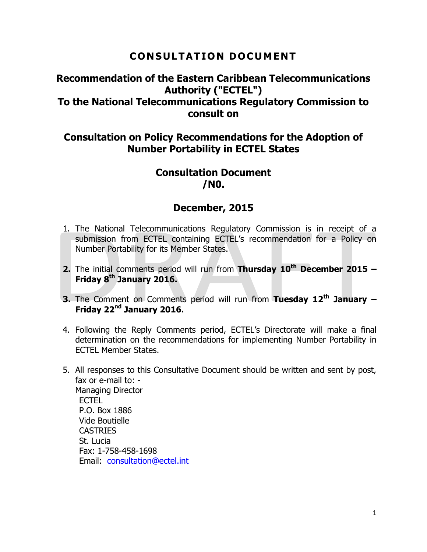### **CONSULTATION DOCUMENT**

### **Recommendation of the Eastern Caribbean Telecommunications Authority ("ECTEL") To the National Telecommunications Regulatory Commission to consult on**

### **Consultation on Policy Recommendations for the Adoption of Number Portability in ECTEL States**

### **Consultation Document /N0.**

### **December, 2015**

- 1. The National Telecommunications Regulatory Commission is in receipt of a submission from ECTEL containing ECTEL's recommendation for a Policy on Number Portability for its Member States.
- **2.** The initial comments period will run from **Thursday 10th December 2015 – Friday 8 th January 2016.**
- **3.** The Comment on Comments period will run from **Tuesday 12 th January – Friday 22nd January 2016.**
- 4. Following the Reply Comments period, ECTEL's Directorate will make a final determination on the recommendations for implementing Number Portability in ECTEL Member States.
- 5. All responses to this Consultative Document should be written and sent by post, fax or e-mail to: - Managing Director ECTEL P.O. Box 1886 Vide Boutielle CASTRIES St. Lucia Fax: 1-758-458-1698 Email: [consultation@ectel.int](mailto:consultation@ectel.int)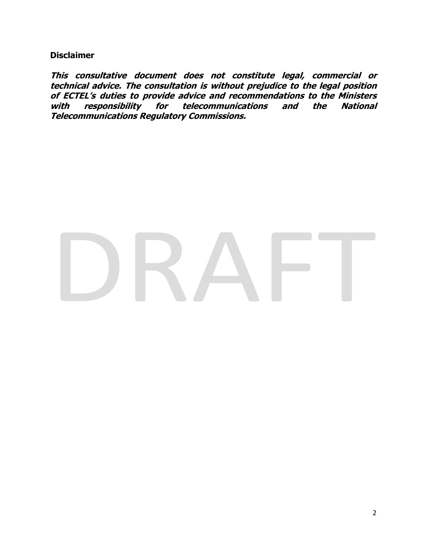**Disclaimer**

**This consultative document does not constitute legal, commercial or technical advice. The consultation is without prejudice to the legal position of ECTEL's duties to provide advice and recommendations to the Ministers with responsibility for telecommunications and the National Telecommunications Regulatory Commissions.**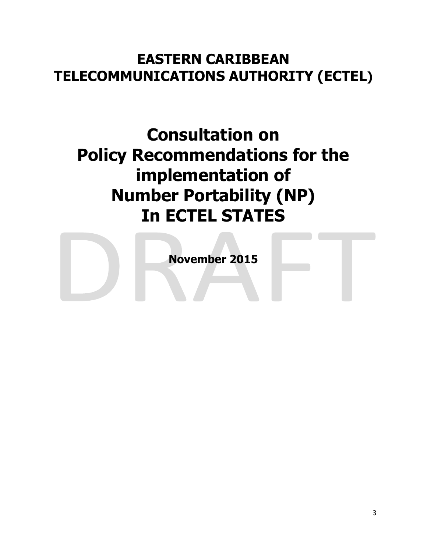# **EASTERN CARIBBEAN TELECOMMUNICATIONS AUTHORITY (ECTEL)**

# **Consultation on Policy Recommendations for the implementation of Number Portability (NP) In ECTEL STATES**

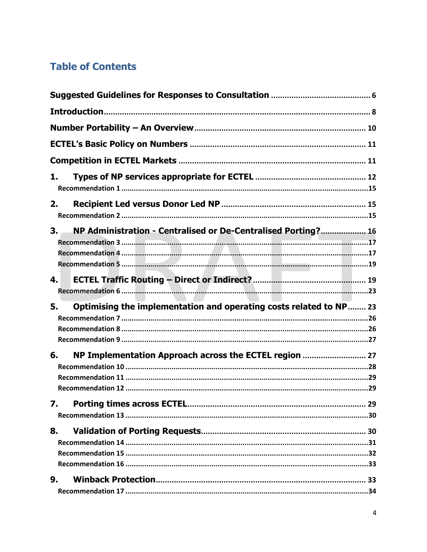# **Table of Contents**

| 1. |                                                                    |  |
|----|--------------------------------------------------------------------|--|
| 2. |                                                                    |  |
| 3. | NP Administration - Centralised or De-Centralised Porting? 16      |  |
| 4. |                                                                    |  |
| 5. | Optimising the implementation and operating costs related to NP 23 |  |
| 6. | NP Implementation Approach across the ECTEL region  27             |  |
|    |                                                                    |  |
| 8. |                                                                    |  |
| 9. |                                                                    |  |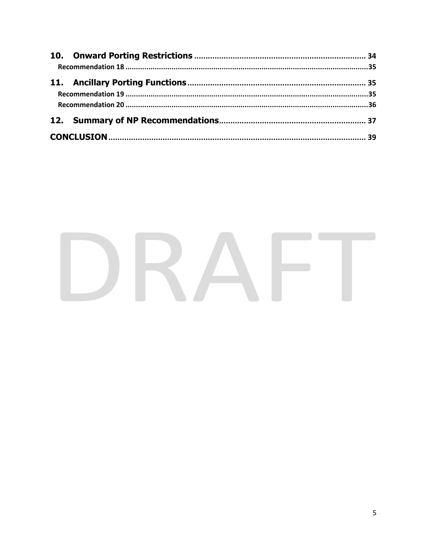# DRAFT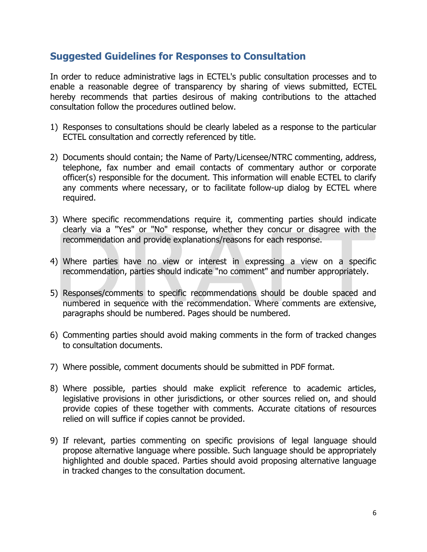### <span id="page-5-0"></span>**Suggested Guidelines for Responses to Consultation**

In order to reduce administrative lags in ECTEL's public consultation processes and to enable a reasonable degree of transparency by sharing of views submitted, ECTEL hereby recommends that parties desirous of making contributions to the attached consultation follow the procedures outlined below.

- 1) Responses to consultations should be clearly labeled as a response to the particular ECTEL consultation and correctly referenced by title.
- 2) Documents should contain; the Name of Party/Licensee/NTRC commenting, address, telephone, fax number and email contacts of commentary author or corporate officer(s) responsible for the document. This information will enable ECTEL to clarify any comments where necessary, or to facilitate follow-up dialog by ECTEL where required.
- 3) Where specific recommendations require it, commenting parties should indicate clearly via a "Yes" or "No" response, whether they concur or disagree with the recommendation and provide explanations/reasons for each response.
- 4) Where parties have no view or interest in expressing a view on a specific recommendation, parties should indicate "no comment" and number appropriately.
- 5) Responses/comments to specific recommendations should be double spaced and numbered in sequence with the recommendation. Where comments are extensive, paragraphs should be numbered. Pages should be numbered.
- 6) Commenting parties should avoid making comments in the form of tracked changes to consultation documents.
- 7) Where possible, comment documents should be submitted in PDF format.
- 8) Where possible, parties should make explicit reference to academic articles, legislative provisions in other jurisdictions, or other sources relied on, and should provide copies of these together with comments. Accurate citations of resources relied on will suffice if copies cannot be provided.
- 9) If relevant, parties commenting on specific provisions of legal language should propose alternative language where possible. Such language should be appropriately highlighted and double spaced. Parties should avoid proposing alternative language in tracked changes to the consultation document.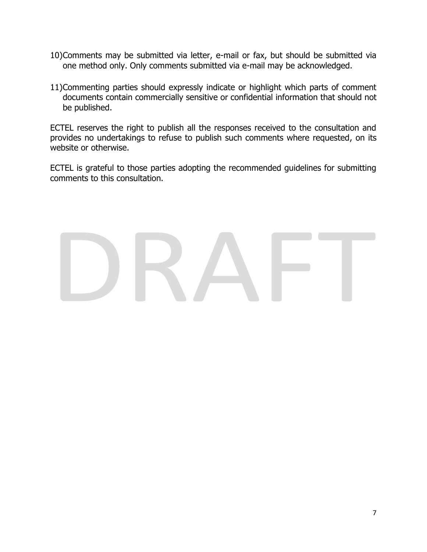- 10)Comments may be submitted via letter, e-mail or fax, but should be submitted via one method only. Only comments submitted via e-mail may be acknowledged.
- 11)Commenting parties should expressly indicate or highlight which parts of comment documents contain commercially sensitive or confidential information that should not be published.

ECTEL reserves the right to publish all the responses received to the consultation and provides no undertakings to refuse to publish such comments where requested, on its website or otherwise.

ECTEL is grateful to those parties adopting the recommended guidelines for submitting comments to this consultation.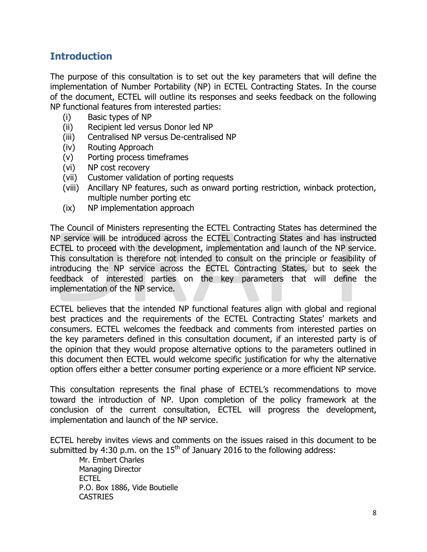### <span id="page-7-0"></span>**Introduction**

The purpose of this consultation is to set out the key parameters that will define the implementation of Number Portability (NP) in ECTEL Contracting States. In the course of the document, ECTEL will outline its responses and seeks feedback on the following NP functional features from interested parties:

- (i) Basic types of NP
- (ii) Recipient led versus Donor led NP
- (iii) Centralised NP versus De-centralised NP
- (iv) Routing Approach
- (v) Porting process timeframes
- (vi) NP cost recovery
- (vii) Customer validation of porting requests
- (viii) Ancillary NP features, such as onward porting restriction, winback protection, multiple number porting etc
- (ix) NP implementation approach

The Council of Ministers representing the ECTEL Contracting States has determined the NP service will be introduced across the ECTEL Contracting States and has instructed ECTEL to proceed with the development, implementation and launch of the NP service. This consultation is therefore not intended to consult on the principle or feasibility of introducing the NP service across the ECTEL Contracting States, but to seek the feedback of interested parties on the key parameters that will define the implementation of the NP service.

ECTEL believes that the intended NP functional features align with global and regional best practices and the requirements of the ECTEL Contracting States' markets and consumers. ECTEL welcomes the feedback and comments from interested parties on the key parameters defined in this consultation document, if an interested party is of the opinion that they would propose alternative options to the parameters outlined in this document then ECTEL would welcome specific justification for why the alternative option offers either a better consumer porting experience or a more efficient NP service.

This consultation represents the final phase of ECTEL's recommendations to move toward the introduction of NP. Upon completion of the policy framework at the conclusion of the current consultation, ECTEL will progress the development, implementation and launch of the NP service.

ECTEL hereby invites views and comments on the issues raised in this document to be submitted by 4:30 p.m. on the  $15<sup>th</sup>$  of January 2016 to the following address:

Mr. Embert Charles Managing Director ECTEL P.O. Box 1886, Vide Boutielle CASTRIES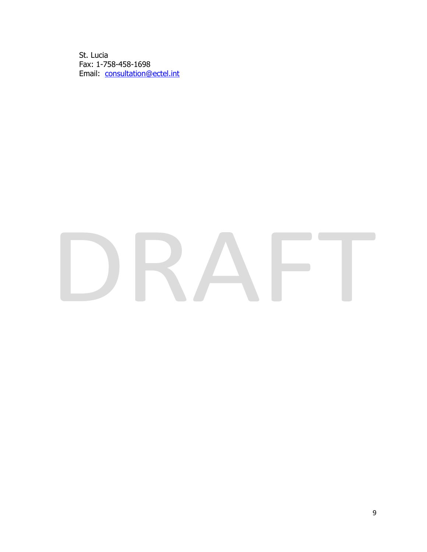St. Lucia Fax: 1-758-458-1698 Email: [consultation@ectel.int](mailto:consultation@ectel.int)

# KA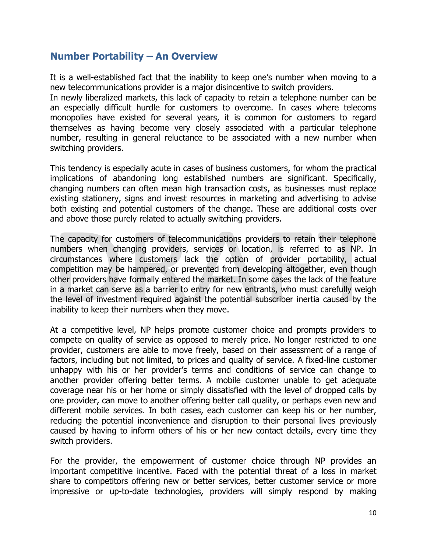### <span id="page-9-0"></span>**Number Portability – An Overview**

It is a well-established fact that the inability to keep one's number when moving to a new telecommunications provider is a major disincentive to switch providers.

In newly liberalized markets, this lack of capacity to retain a telephone number can be an especially difficult hurdle for customers to overcome. In cases where telecoms monopolies have existed for several years, it is common for customers to regard themselves as having become very closely associated with a particular telephone number, resulting in general reluctance to be associated with a new number when switching providers.

This tendency is especially acute in cases of business customers, for whom the practical implications of abandoning long established numbers are significant. Specifically, changing numbers can often mean high transaction costs, as businesses must replace existing stationery, signs and invest resources in marketing and advertising to advise both existing and potential customers of the change. These are additional costs over and above those purely related to actually switching providers.

The capacity for customers of telecommunications providers to retain their telephone numbers when changing providers, services or location, is referred to as NP. In circumstances where customers lack the option of provider portability, actual competition may be hampered, or prevented from developing altogether, even though other providers have formally entered the market. In some cases the lack of the feature in a market can serve as a barrier to entry for new entrants, who must carefully weigh the level of investment required against the potential subscriber inertia caused by the inability to keep their numbers when they move.

At a competitive level, NP helps promote customer choice and prompts providers to compete on quality of service as opposed to merely price. No longer restricted to one provider, customers are able to move freely, based on their assessment of a range of factors, including but not limited, to prices and quality of service. A fixed-line customer unhappy with his or her provider's terms and conditions of service can change to another provider offering better terms. A mobile customer unable to get adequate coverage near his or her home or simply dissatisfied with the level of dropped calls by one provider, can move to another offering better call quality, or perhaps even new and different mobile services. In both cases, each customer can keep his or her number, reducing the potential inconvenience and disruption to their personal lives previously caused by having to inform others of his or her new contact details, every time they switch providers.

For the provider, the empowerment of customer choice through NP provides an important competitive incentive. Faced with the potential threat of a loss in market share to competitors offering new or better services, better customer service or more impressive or up-to-date technologies, providers will simply respond by making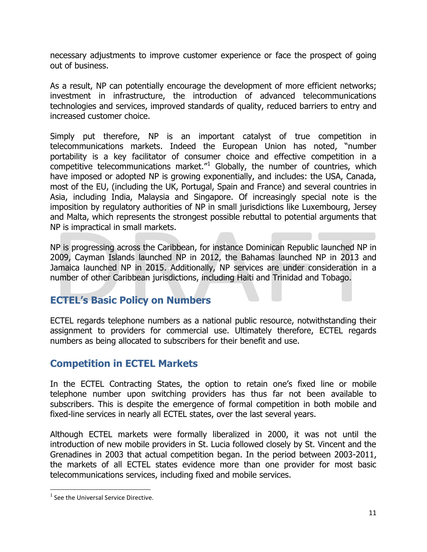necessary adjustments to improve customer experience or face the prospect of going out of business.

As a result, NP can potentially encourage the development of more efficient networks; investment in infrastructure, the introduction of advanced telecommunications technologies and services, improved standards of quality, reduced barriers to entry and increased customer choice.

Simply put therefore, NP is an important catalyst of true competition in telecommunications markets. Indeed the European Union has noted, "number portability is a key facilitator of consumer choice and effective competition in a competitive telecommunications market. $n<sup>1</sup>$  Globally, the number of countries, which have imposed or adopted NP is growing exponentially, and includes: the USA, Canada, most of the EU, (including the UK, Portugal, Spain and France) and several countries in Asia, including India, Malaysia and Singapore. Of increasingly special note is the imposition by regulatory authorities of NP in small jurisdictions like Luxembourg, Jersey and Malta, which represents the strongest possible rebuttal to potential arguments that NP is impractical in small markets.

NP is progressing across the Caribbean, for instance Dominican Republic launched NP in 2009, Cayman Islands launched NP in 2012, the Bahamas launched NP in 2013 and Jamaica launched NP in 2015. Additionally, NP services are under consideration in a number of other Caribbean jurisdictions, including Haiti and Trinidad and Tobago.

### <span id="page-10-0"></span>**ECTEL's Basic Policy on Numbers**

ECTEL regards telephone numbers as a national public resource, notwithstanding their assignment to providers for commercial use. Ultimately therefore, ECTEL regards numbers as being allocated to subscribers for their benefit and use.

### <span id="page-10-1"></span>**Competition in ECTEL Markets**

In the ECTEL Contracting States, the option to retain one's fixed line or mobile telephone number upon switching providers has thus far not been available to subscribers. This is despite the emergence of formal competition in both mobile and fixed-line services in nearly all ECTEL states, over the last several years.

Although ECTEL markets were formally liberalized in 2000, it was not until the introduction of new mobile providers in St. Lucia followed closely by St. Vincent and the Grenadines in 2003 that actual competition began. In the period between 2003-2011, the markets of all ECTEL states evidence more than one provider for most basic telecommunications services, including fixed and mobile services.

 $\overline{\phantom{a}}$ 

<sup>&</sup>lt;sup>1</sup> See the Universal Service Directive.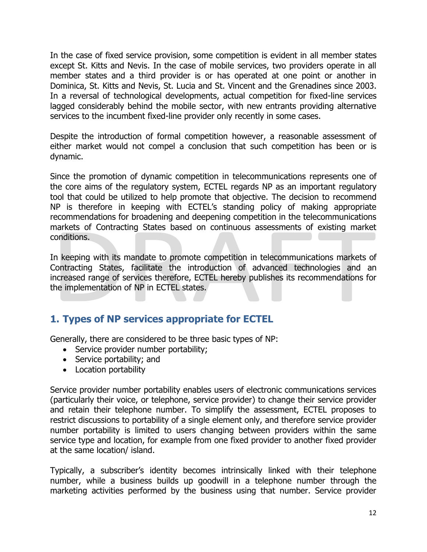In the case of fixed service provision, some competition is evident in all member states except St. Kitts and Nevis. In the case of mobile services, two providers operate in all member states and a third provider is or has operated at one point or another in Dominica, St. Kitts and Nevis, St. Lucia and St. Vincent and the Grenadines since 2003. In a reversal of technological developments, actual competition for fixed-line services lagged considerably behind the mobile sector, with new entrants providing alternative services to the incumbent fixed-line provider only recently in some cases.

Despite the introduction of formal competition however, a reasonable assessment of either market would not compel a conclusion that such competition has been or is dynamic.

Since the promotion of dynamic competition in telecommunications represents one of the core aims of the regulatory system, ECTEL regards NP as an important regulatory tool that could be utilized to help promote that objective. The decision to recommend NP is therefore in keeping with ECTEL's standing policy of making appropriate recommendations for broadening and deepening competition in the telecommunications markets of Contracting States based on continuous assessments of existing market conditions.

In keeping with its mandate to promote competition in telecommunications markets of Contracting States, facilitate the introduction of advanced technologies and an increased range of services therefore, ECTEL hereby publishes its recommendations for the implementation of NP in ECTEL states.

### <span id="page-11-0"></span>**1. Types of NP services appropriate for ECTEL**

Generally, there are considered to be three basic types of NP:

- Service provider number portability;
- Service portability; and
- Location portability

Service provider number portability enables users of electronic communications services (particularly their voice, or telephone, service provider) to change their service provider and retain their telephone number. To simplify the assessment, ECTEL proposes to restrict discussions to portability of a single element only, and therefore service provider number portability is limited to users changing between providers within the same service type and location, for example from one fixed provider to another fixed provider at the same location/ island.

Typically, a subscriber's identity becomes intrinsically linked with their telephone number, while a business builds up goodwill in a telephone number through the marketing activities performed by the business using that number. Service provider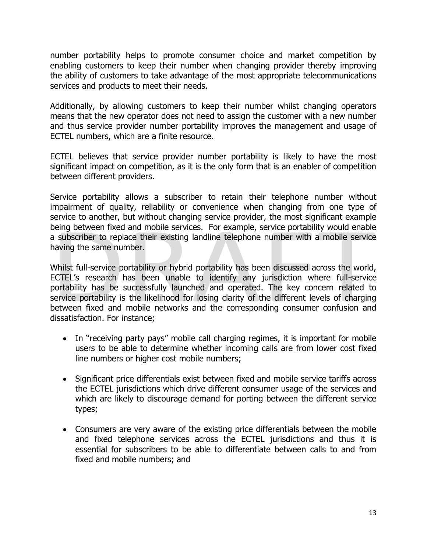number portability helps to promote consumer choice and market competition by enabling customers to keep their number when changing provider thereby improving the ability of customers to take advantage of the most appropriate telecommunications services and products to meet their needs.

Additionally, by allowing customers to keep their number whilst changing operators means that the new operator does not need to assign the customer with a new number and thus service provider number portability improves the management and usage of ECTEL numbers, which are a finite resource.

ECTEL believes that service provider number portability is likely to have the most significant impact on competition, as it is the only form that is an enabler of competition between different providers.

Service portability allows a subscriber to retain their telephone number without impairment of quality, reliability or convenience when changing from one type of service to another, but without changing service provider, the most significant example being between fixed and mobile services. For example, service portability would enable a subscriber to replace their existing landline telephone number with a mobile service having the same number.

Whilst full-service portability or hybrid portability has been discussed across the world, ECTEL's research has been unable to identify any jurisdiction where full-service portability has be successfully launched and operated. The key concern related to service portability is the likelihood for losing clarity of the different levels of charging between fixed and mobile networks and the corresponding consumer confusion and dissatisfaction. For instance;

- In "receiving party pays" mobile call charging regimes, it is important for mobile users to be able to determine whether incoming calls are from lower cost fixed line numbers or higher cost mobile numbers;
- Significant price differentials exist between fixed and mobile service tariffs across the ECTEL jurisdictions which drive different consumer usage of the services and which are likely to discourage demand for porting between the different service types;
- Consumers are very aware of the existing price differentials between the mobile and fixed telephone services across the ECTEL jurisdictions and thus it is essential for subscribers to be able to differentiate between calls to and from fixed and mobile numbers; and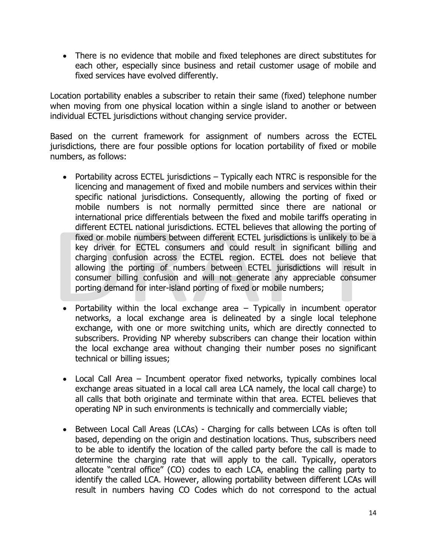There is no evidence that mobile and fixed telephones are direct substitutes for each other, especially since business and retail customer usage of mobile and fixed services have evolved differently.

Location portability enables a subscriber to retain their same (fixed) telephone number when moving from one physical location within a single island to another or between individual ECTEL jurisdictions without changing service provider.

Based on the current framework for assignment of numbers across the ECTEL jurisdictions, there are four possible options for location portability of fixed or mobile numbers, as follows:

- Portability across ECTEL jurisdictions Typically each NTRC is responsible for the licencing and management of fixed and mobile numbers and services within their specific national jurisdictions. Consequently, allowing the porting of fixed or mobile numbers is not normally permitted since there are national or international price differentials between the fixed and mobile tariffs operating in different ECTEL national jurisdictions. ECTEL believes that allowing the porting of fixed or mobile numbers between different ECTEL jurisdictions is unlikely to be a key driver for ECTEL consumers and could result in significant billing and charging confusion across the ECTEL region. ECTEL does not believe that allowing the porting of numbers between ECTEL jurisdictions will result in consumer billing confusion and will not generate any appreciable consumer porting demand for inter-island porting of fixed or mobile numbers;
- Portability within the local exchange area  $-$  Typically in incumbent operator networks, a local exchange area is delineated by a single local telephone exchange, with one or more switching units, which are directly connected to subscribers. Providing NP whereby subscribers can change their location within the local exchange area without changing their number poses no significant technical or billing issues;
- Local Call Area Incumbent operator fixed networks, typically combines local exchange areas situated in a local call area LCA namely, the local call charge) to all calls that both originate and terminate within that area. ECTEL believes that operating NP in such environments is technically and commercially viable;
- Between Local Call Areas (LCAs) Charging for calls between LCAs is often toll based, depending on the origin and destination locations. Thus, subscribers need to be able to identify the location of the called party before the call is made to determine the charging rate that will apply to the call. Typically, operators allocate "central office" (CO) codes to each LCA, enabling the calling party to identify the called LCA. However, allowing portability between different LCAs will result in numbers having CO Codes which do not correspond to the actual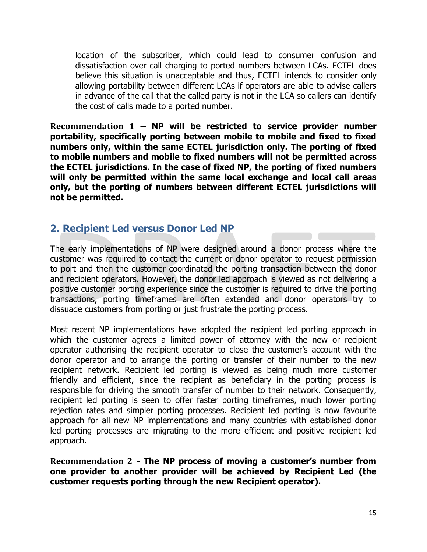location of the subscriber, which could lead to consumer confusion and dissatisfaction over call charging to ported numbers between LCAs. ECTEL does believe this situation is unacceptable and thus, ECTEL intends to consider only allowing portability between different LCAs if operators are able to advise callers in advance of the call that the called party is not in the LCA so callers can identify the cost of calls made to a ported number.

<span id="page-14-0"></span>**Recommendation 1 – NP will be restricted to service provider number portability, specifically porting between mobile to mobile and fixed to fixed numbers only, within the same ECTEL jurisdiction only. The porting of fixed to mobile numbers and mobile to fixed numbers will not be permitted across the ECTEL jurisdictions. In the case of fixed NP, the porting of fixed numbers will only be permitted within the same local exchange and local call areas only, but the porting of numbers between different ECTEL jurisdictions will not be permitted.**

### <span id="page-14-1"></span>**2. Recipient Led versus Donor Led NP**

The early implementations of NP were designed around a donor process where the customer was required to contact the current or donor operator to request permission to port and then the customer coordinated the porting transaction between the donor and recipient operators. However, the donor led approach is viewed as not delivering a positive customer porting experience since the customer is required to drive the porting transactions, porting timeframes are often extended and donor operators try to dissuade customers from porting or just frustrate the porting process.

Most recent NP implementations have adopted the recipient led porting approach in which the customer agrees a limited power of attorney with the new or recipient operator authorising the recipient operator to close the customer's account with the donor operator and to arrange the porting or transfer of their number to the new recipient network. Recipient led porting is viewed as being much more customer friendly and efficient, since the recipient as beneficiary in the porting process is responsible for driving the smooth transfer of number to their network. Consequently, recipient led porting is seen to offer faster porting timeframes, much lower porting rejection rates and simpler porting processes. Recipient led porting is now favourite approach for all new NP implementations and many countries with established donor led porting processes are migrating to the more efficient and positive recipient led approach.

<span id="page-14-2"></span>**Recommendation 2 - The NP process of moving a customer's number from one provider to another provider will be achieved by Recipient Led (the customer requests porting through the new Recipient operator).**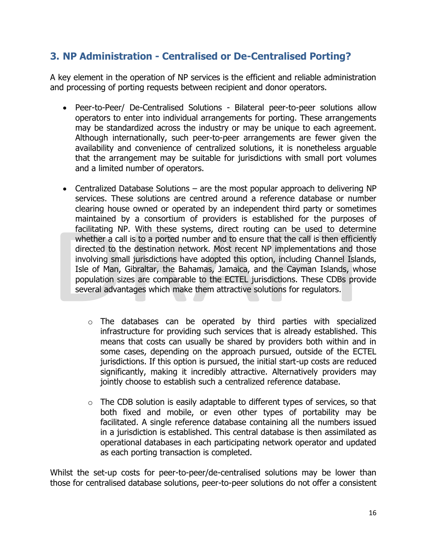## <span id="page-15-0"></span>**3. NP Administration - Centralised or De-Centralised Porting?**

A key element in the operation of NP services is the efficient and reliable administration and processing of porting requests between recipient and donor operators.

- Peer-to-Peer/ De-Centralised Solutions Bilateral peer-to-peer solutions allow operators to enter into individual arrangements for porting. These arrangements may be standardized across the industry or may be unique to each agreement. Although internationally, such peer-to-peer arrangements are fewer given the availability and convenience of centralized solutions, it is nonetheless arguable that the arrangement may be suitable for jurisdictions with small port volumes and a limited number of operators.
- Centralized Database Solutions are the most popular approach to delivering NP services. These solutions are centred around a reference database or number clearing house owned or operated by an independent third party or sometimes maintained by a consortium of providers is established for the purposes of facilitating NP. With these systems, direct routing can be used to determine whether a call is to a ported number and to ensure that the call is then efficiently directed to the destination network. Most recent NP implementations and those involving small jurisdictions have adopted this option, including Channel Islands, Isle of Man, Gibraltar, the Bahamas, Jamaica, and the Cayman Islands, whose population sizes are comparable to the ECTEL jurisdictions. These CDBs provide several advantages which make them attractive solutions for regulators.
	- o The databases can be operated by third parties with specialized infrastructure for providing such services that is already established. This means that costs can usually be shared by providers both within and in some cases, depending on the approach pursued, outside of the ECTEL jurisdictions. If this option is pursued, the initial start-up costs are reduced significantly, making it incredibly attractive. Alternatively providers may jointly choose to establish such a centralized reference database.
	- $\circ$  The CDB solution is easily adaptable to different types of services, so that both fixed and mobile, or even other types of portability may be facilitated. A single reference database containing all the numbers issued in a jurisdiction is established. This central database is then assimilated as operational databases in each participating network operator and updated as each porting transaction is completed.

Whilst the set-up costs for peer-to-peer/de-centralised solutions may be lower than those for centralised database solutions, peer-to-peer solutions do not offer a consistent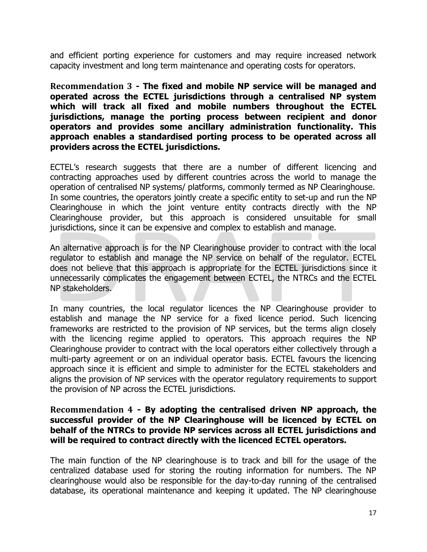and efficient porting experience for customers and may require increased network capacity investment and long term maintenance and operating costs for operators.

<span id="page-16-0"></span>**Recommendation 3 - The fixed and mobile NP service will be managed and operated across the ECTEL jurisdictions through a centralised NP system which will track all fixed and mobile numbers throughout the ECTEL jurisdictions, manage the porting process between recipient and donor operators and provides some ancillary administration functionality. This approach enables a standardised porting process to be operated across all providers across the ECTEL jurisdictions.**

ECTEL's research suggests that there are a number of different licencing and contracting approaches used by different countries across the world to manage the operation of centralised NP systems/ platforms, commonly termed as NP Clearinghouse. In some countries, the operators jointly create a specific entity to set-up and run the NP Clearinghouse in which the joint venture entity contracts directly with the NP Clearinghouse provider, but this approach is considered unsuitable for small jurisdictions, since it can be expensive and complex to establish and manage.

An alternative approach is for the NP Clearinghouse provider to contract with the local regulator to establish and manage the NP service on behalf of the regulator. ECTEL does not believe that this approach is appropriate for the ECTEL jurisdictions since it unnecessarily complicates the engagement between ECTEL, the NTRCs and the ECTEL NP stakeholders.

In many countries, the local regulator licences the NP Clearinghouse provider to establish and manage the NP service for a fixed licence period. Such licencing frameworks are restricted to the provision of NP services, but the terms align closely with the licencing regime applied to operators. This approach requires the NP Clearinghouse provider to contract with the local operators either collectively through a multi-party agreement or on an individual operator basis. ECTEL favours the licencing approach since it is efficient and simple to administer for the ECTEL stakeholders and aligns the provision of NP services with the operator regulatory requirements to support the provision of NP across the ECTEL jurisdictions.

### <span id="page-16-1"></span>**Recommendation 4 - By adopting the centralised driven NP approach, the successful provider of the NP Clearinghouse will be licenced by ECTEL on behalf of the NTRCs to provide NP services across all ECTEL jurisdictions and will be required to contract directly with the licenced ECTEL operators.**

The main function of the NP clearinghouse is to track and bill for the usage of the centralized database used for storing the routing information for numbers. The NP clearinghouse would also be responsible for the day-to-day running of the centralised database, its operational maintenance and keeping it updated. The NP clearinghouse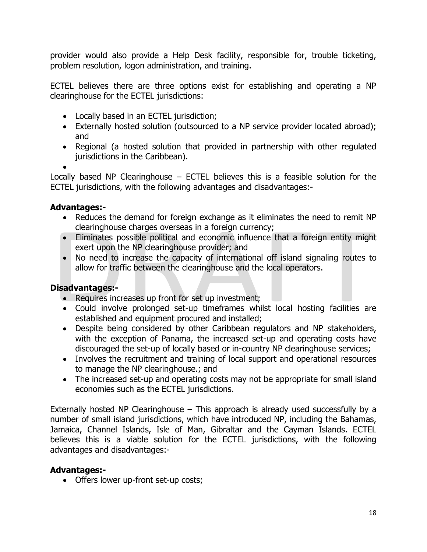provider would also provide a Help Desk facility, responsible for, trouble ticketing, problem resolution, logon administration, and training.

ECTEL believes there are three options exist for establishing and operating a NP clearinghouse for the ECTEL jurisdictions:

- Locally based in an ECTEL jurisdiction;
- Externally hosted solution (outsourced to a NP service provider located abroad); and
- Regional (a hosted solution that provided in partnership with other regulated jurisdictions in the Caribbean).

 $\bullet$ 

Locally based NP Clearinghouse  $-$  ECTEL believes this is a feasible solution for the ECTEL jurisdictions, with the following advantages and disadvantages:-

### **Advantages:-**

- Reduces the demand for foreign exchange as it eliminates the need to remit NP clearinghouse charges overseas in a foreign currency;
- Eliminates possible political and economic influence that a foreign entity might exert upon the NP clearinghouse provider; and
- No need to increase the capacity of international off island signaling routes to allow for traffic between the clearinghouse and the local operators.

### **Disadvantages:-**

- Requires increases up front for set up investment;
- Could involve prolonged set-up timeframes whilst local hosting facilities are established and equipment procured and installed;
- Despite being considered by other Caribbean regulators and NP stakeholders, with the exception of Panama, the increased set-up and operating costs have discouraged the set-up of locally based or in-country NP clearinghouse services;
- Involves the recruitment and training of local support and operational resources to manage the NP clearinghouse.; and
- The increased set-up and operating costs may not be appropriate for small island economies such as the ECTEL jurisdictions.

Externally hosted NP Clearinghouse – This approach is already used successfully by a number of small island jurisdictions, which have introduced NP, including the Bahamas, Jamaica, Channel Islands, Isle of Man, Gibraltar and the Cayman Islands. ECTEL believes this is a viable solution for the ECTEL jurisdictions, with the following advantages and disadvantages:-

### **Advantages:-**

• Offers lower up-front set-up costs;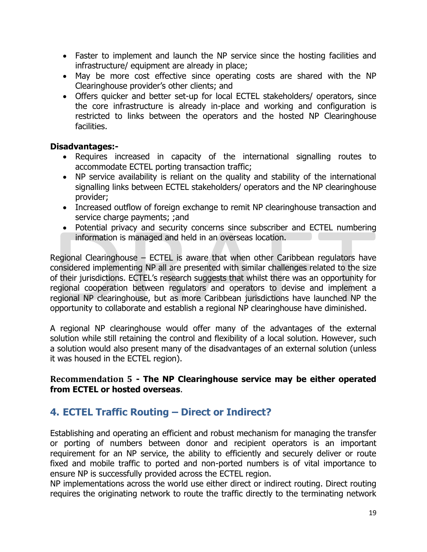- Faster to implement and launch the NP service since the hosting facilities and infrastructure/ equipment are already in place;
- May be more cost effective since operating costs are shared with the NP Clearinghouse provider's other clients; and
- Offers quicker and better set-up for local ECTEL stakeholders/ operators, since the core infrastructure is already in-place and working and configuration is restricted to links between the operators and the hosted NP Clearinghouse facilities.

### **Disadvantages:-**

- Requires increased in capacity of the international signalling routes to accommodate ECTEL porting transaction traffic;
- NP service availability is reliant on the quality and stability of the international signalling links between ECTEL stakeholders/ operators and the NP clearinghouse provider;
- Increased outflow of foreign exchange to remit NP clearinghouse transaction and service charge payments; ;and
- Potential privacy and security concerns since subscriber and ECTEL numbering information is managed and held in an overseas location.

Regional Clearinghouse – ECTEL is aware that when other Caribbean regulators have considered implementing NP all are presented with similar challenges related to the size of their jurisdictions. ECTEL's research suggests that whilst there was an opportunity for regional cooperation between regulators and operators to devise and implement a regional NP clearinghouse, but as more Caribbean jurisdictions have launched NP the opportunity to collaborate and establish a regional NP clearinghouse have diminished.

A regional NP clearinghouse would offer many of the advantages of the external solution while still retaining the control and flexibility of a local solution. However, such a solution would also present many of the disadvantages of an external solution (unless it was housed in the ECTEL region).

### <span id="page-18-0"></span>**Recommendation 5 - The NP Clearinghouse service may be either operated from ECTEL or hosted overseas**.

## <span id="page-18-1"></span>**4. ECTEL Traffic Routing – Direct or Indirect?**

Establishing and operating an efficient and robust mechanism for managing the transfer or porting of numbers between donor and recipient operators is an important requirement for an NP service, the ability to efficiently and securely deliver or route fixed and mobile traffic to ported and non-ported numbers is of vital importance to ensure NP is successfully provided across the ECTEL region.

NP implementations across the world use either direct or indirect routing. Direct routing requires the originating network to route the traffic directly to the terminating network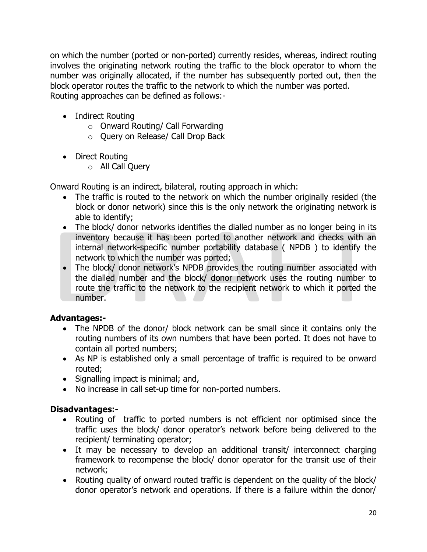on which the number (ported or non-ported) currently resides, whereas, indirect routing involves the originating network routing the traffic to the block operator to whom the number was originally allocated, if the number has subsequently ported out, then the block operator routes the traffic to the network to which the number was ported. Routing approaches can be defined as follows:-

- Indirect Routing
	- o Onward Routing/ Call Forwarding
	- o Query on Release/ Call Drop Back
- Direct Routing
	- o All Call Query

Onward Routing is an indirect, bilateral, routing approach in which:

- The traffic is routed to the network on which the number originally resided (the block or donor network) since this is the only network the originating network is able to identify;
- The block/ donor networks identifies the dialled number as no longer being in its inventory because it has been ported to another network and checks with an internal network-specific number portability database ( NPDB ) to identify the network to which the number was ported;
- The block/ donor network's NPDB provides the routing number associated with the dialled number and the block/ donor network uses the routing number to route the traffic to the network to the recipient network to which it ported the number.

### **Advantages:-**

- The NPDB of the donor/ block network can be small since it contains only the routing numbers of its own numbers that have been ported. It does not have to contain all ported numbers;
- As NP is established only a small percentage of traffic is required to be onward routed;
- Signalling impact is minimal; and,
- No increase in call set-up time for non-ported numbers.

### **Disadvantages:-**

- Routing of traffic to ported numbers is not efficient nor optimised since the traffic uses the block/ donor operator's network before being delivered to the recipient/ terminating operator;
- It may be necessary to develop an additional transit/ interconnect charging framework to recompense the block/ donor operator for the transit use of their network;
- Routing quality of onward routed traffic is dependent on the quality of the block/ donor operator's network and operations. If there is a failure within the donor/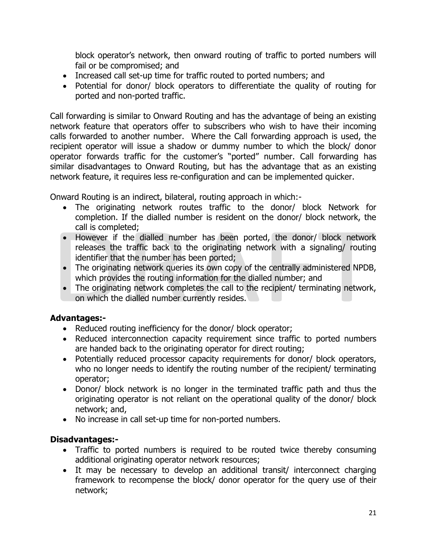block operator's network, then onward routing of traffic to ported numbers will fail or be compromised; and

- Increased call set-up time for traffic routed to ported numbers; and
- Potential for donor/ block operators to differentiate the quality of routing for ported and non-ported traffic.

Call forwarding is similar to Onward Routing and has the advantage of being an existing network feature that operators offer to subscribers who wish to have their incoming calls forwarded to another number. Where the Call forwarding approach is used, the recipient operator will issue a shadow or dummy number to which the block/ donor operator forwards traffic for the customer's "ported" number. Call forwarding has similar disadvantages to Onward Routing, but has the advantage that as an existing network feature, it requires less re-configuration and can be implemented quicker.

Onward Routing is an indirect, bilateral, routing approach in which:-

- The originating network routes traffic to the donor/ block Network for completion. If the dialled number is resident on the donor/ block network, the call is completed;
- However if the dialled number has been ported, the donor/ block network releases the traffic back to the originating network with a signaling/ routing identifier that the number has been ported;
- The originating network queries its own copy of the centrally administered NPDB, which provides the routing information for the dialled number; and
- The originating network completes the call to the recipient/ terminating network, on which the dialled number currently resides.

### **Advantages:-**

- Reduced routing inefficiency for the donor/ block operator;
- Reduced interconnection capacity requirement since traffic to ported numbers are handed back to the originating operator for direct routing;
- Potentially reduced processor capacity requirements for donor/ block operators, who no longer needs to identify the routing number of the recipient/ terminating operator;
- Donor/ block network is no longer in the terminated traffic path and thus the originating operator is not reliant on the operational quality of the donor/ block network; and,
- No increase in call set-up time for non-ported numbers.

### **Disadvantages:-**

- Traffic to ported numbers is required to be routed twice thereby consuming additional originating operator network resources;
- It may be necessary to develop an additional transit/ interconnect charging framework to recompense the block/ donor operator for the query use of their network;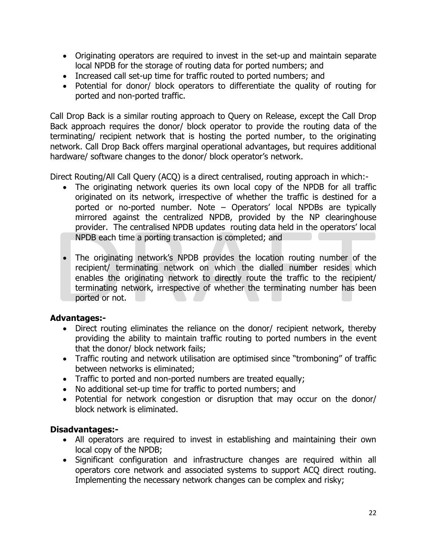- Originating operators are required to invest in the set-up and maintain separate local NPDB for the storage of routing data for ported numbers; and
- Increased call set-up time for traffic routed to ported numbers; and
- Potential for donor/ block operators to differentiate the quality of routing for ported and non-ported traffic.

Call Drop Back is a similar routing approach to Query on Release, except the Call Drop Back approach requires the donor/ block operator to provide the routing data of the terminating/ recipient network that is hosting the ported number, to the originating network. Call Drop Back offers marginal operational advantages, but requires additional hardware/ software changes to the donor/ block operator's network.

Direct Routing/All Call Query (ACQ) is a direct centralised, routing approach in which:-

- The originating network queries its own local copy of the NPDB for all traffic originated on its network, irrespective of whether the traffic is destined for a ported or no-ported number. Note – Operators' local NPDBs are typically mirrored against the centralized NPDB, provided by the NP clearinghouse provider. The centralised NPDB updates routing data held in the operators' local NPDB each time a porting transaction is completed; and
- The originating network's NPDB provides the location routing number of the recipient/ terminating network on which the dialled number resides which enables the originating network to directly route the traffic to the recipient/ terminating network, irrespective of whether the terminating number has been ported or not.

### **Advantages:-**

- Direct routing eliminates the reliance on the donor/ recipient network, thereby providing the ability to maintain traffic routing to ported numbers in the event that the donor/ block network fails;
- Traffic routing and network utilisation are optimised since "tromboning" of traffic between networks is eliminated;
- Traffic to ported and non-ported numbers are treated equally;
- No additional set-up time for traffic to ported numbers; and
- Potential for network congestion or disruption that may occur on the donor/ block network is eliminated.

### **Disadvantages:-**

- All operators are required to invest in establishing and maintaining their own local copy of the NPDB;
- Significant configuration and infrastructure changes are required within all operators core network and associated systems to support ACQ direct routing. Implementing the necessary network changes can be complex and risky;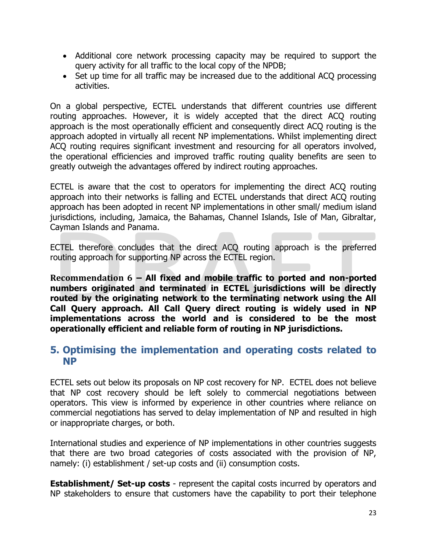- Additional core network processing capacity may be required to support the query activity for all traffic to the local copy of the NPDB;
- Set up time for all traffic may be increased due to the additional ACQ processing activities.

On a global perspective, ECTEL understands that different countries use different routing approaches. However, it is widely accepted that the direct ACQ routing approach is the most operationally efficient and consequently direct ACQ routing is the approach adopted in virtually all recent NP implementations. Whilst implementing direct ACO routing requires significant investment and resourcing for all operators involved, the operational efficiencies and improved traffic routing quality benefits are seen to greatly outweigh the advantages offered by indirect routing approaches.

ECTEL is aware that the cost to operators for implementing the direct ACQ routing approach into their networks is falling and ECTEL understands that direct ACQ routing approach has been adopted in recent NP implementations in other small/ medium island jurisdictions, including, Jamaica, the Bahamas, Channel Islands, Isle of Man, Gibraltar, Cayman Islands and Panama.

ECTEL therefore concludes that the direct ACQ routing approach is the preferred routing approach for supporting NP across the ECTEL region.

<span id="page-22-0"></span>**Recommendation 6 – All fixed and mobile traffic to ported and non-ported numbers originated and terminated in ECTEL jurisdictions will be directly routed by the originating network to the terminating network using the All Call Query approach. All Call Query direct routing is widely used in NP implementations across the world and is considered to be the most operationally efficient and reliable form of routing in NP jurisdictions.** 

### <span id="page-22-1"></span>**5. Optimising the implementation and operating costs related to NP**

ECTEL sets out below its proposals on NP cost recovery for NP. ECTEL does not believe that NP cost recovery should be left solely to commercial negotiations between operators. This view is informed by experience in other countries where reliance on commercial negotiations has served to delay implementation of NP and resulted in high or inappropriate charges, or both.

International studies and experience of NP implementations in other countries suggests that there are two broad categories of costs associated with the provision of NP, namely: (i) establishment / set-up costs and (ii) consumption costs.

**Establishment/ Set-up costs** - represent the capital costs incurred by operators and NP stakeholders to ensure that customers have the capability to port their telephone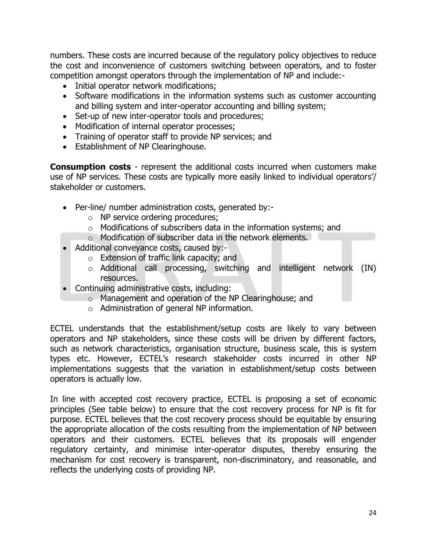numbers. These costs are incurred because of the regulatory policy objectives to reduce the cost and inconvenience of customers switching between operators, and to foster competition amongst operators through the implementation of NP and include:-

- Initial operator network modifications;
- Software modifications in the information systems such as customer accounting and billing system and inter-operator accounting and billing system;
- Set-up of new inter-operator tools and procedures;
- Modification of internal operator processes;
- Training of operator staff to provide NP services; and
- Establishment of NP Clearinghouse.

**Consumption costs** - represent the additional costs incurred when customers make use of NP services. These costs are typically more easily linked to individual operators'/ stakeholder or customers.

- Per-line/ number administration costs, generated by:
	- o NP service ordering procedures;
	- o Modifications of subscribers data in the information systems; and
	- o Modification of subscriber data in the network elements.
- Additional conveyance costs, caused by:
	- o Extension of traffic link capacity; and
	- o Additional call processing, switching and intelligent network (IN) resources.
- Continuing administrative costs, including:
	- o Management and operation of the NP Clearinghouse; and
	- o Administration of general NP information.

ECTEL understands that the establishment/setup costs are likely to vary between operators and NP stakeholders, since these costs will be driven by different factors, such as network characteristics, organisation structure, business scale, this is system types etc. However, ECTEL's research stakeholder costs incurred in other NP implementations suggests that the variation in establishment/setup costs between operators is actually low.

In line with accepted cost recovery practice, ECTEL is proposing a set of economic principles (See table below) to ensure that the cost recovery process for NP is fit for purpose. ECTEL believes that the cost recovery process should be equitable by ensuring the appropriate allocation of the costs resulting from the implementation of NP between operators and their customers. ECTEL believes that its proposals will engender regulatory certainty, and minimise inter-operator disputes, thereby ensuring the mechanism for cost recovery is transparent, non-discriminatory, and reasonable, and reflects the underlying costs of providing NP.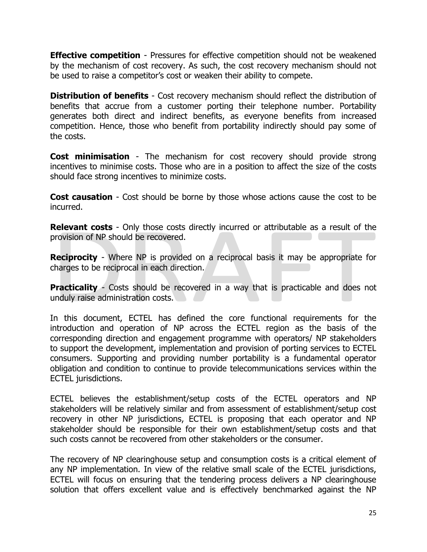**Effective competition** - Pressures for effective competition should not be weakened by the mechanism of cost recovery. As such, the cost recovery mechanism should not be used to raise a competitor's cost or weaken their ability to compete.

**Distribution of benefits** - Cost recovery mechanism should reflect the distribution of benefits that accrue from a customer porting their telephone number. Portability generates both direct and indirect benefits, as everyone benefits from increased competition. Hence, those who benefit from portability indirectly should pay some of the costs.

**Cost minimisation** - The mechanism for cost recovery should provide strong incentives to minimise costs. Those who are in a position to affect the size of the costs should face strong incentives to minimize costs.

**Cost causation** - Cost should be borne by those whose actions cause the cost to be incurred.

**Relevant costs** - Only those costs directly incurred or attributable as a result of the provision of NP should be recovered.

**Reciprocity** - Where NP is provided on a reciprocal basis it may be appropriate for charges to be reciprocal in each direction.

**Practicality** - Costs should be recovered in a way that is practicable and does not unduly raise administration costs.

In this document, ECTEL has defined the core functional requirements for the introduction and operation of NP across the ECTEL region as the basis of the corresponding direction and engagement programme with operators/ NP stakeholders to support the development, implementation and provision of porting services to ECTEL consumers. Supporting and providing number portability is a fundamental operator obligation and condition to continue to provide telecommunications services within the ECTEL jurisdictions.

ECTEL believes the establishment/setup costs of the ECTEL operators and NP stakeholders will be relatively similar and from assessment of establishment/setup cost recovery in other NP jurisdictions, ECTEL is proposing that each operator and NP stakeholder should be responsible for their own establishment/setup costs and that such costs cannot be recovered from other stakeholders or the consumer.

The recovery of NP clearinghouse setup and consumption costs is a critical element of any NP implementation. In view of the relative small scale of the ECTEL jurisdictions, ECTEL will focus on ensuring that the tendering process delivers a NP clearinghouse solution that offers excellent value and is effectively benchmarked against the NP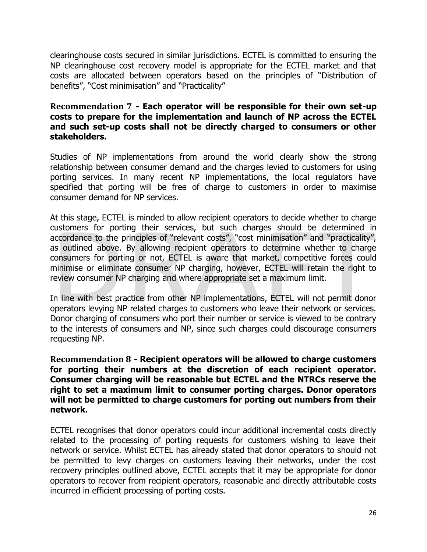clearinghouse costs secured in similar jurisdictions. ECTEL is committed to ensuring the NP clearinghouse cost recovery model is appropriate for the ECTEL market and that costs are allocated between operators based on the principles of "Distribution of benefits", "Cost minimisation" and "Practicality"

### <span id="page-25-0"></span>**Recommendation 7 - Each operator will be responsible for their own set-up costs to prepare for the implementation and launch of NP across the ECTEL and such set-up costs shall not be directly charged to consumers or other stakeholders.**

Studies of NP implementations from around the world clearly show the strong relationship between consumer demand and the charges levied to customers for using porting services. In many recent NP implementations, the local regulators have specified that porting will be free of charge to customers in order to maximise consumer demand for NP services.

At this stage, ECTEL is minded to allow recipient operators to decide whether to charge customers for porting their services, but such charges should be determined in accordance to the principles of "relevant costs", "cost minimisation" and "practicality", as outlined above. By allowing recipient operators to determine whether to charge consumers for porting or not, ECTEL is aware that market, competitive forces could minimise or eliminate consumer NP charging, however, ECTEL will retain the right to review consumer NP charging and where appropriate set a maximum limit.

In line with best practice from other NP implementations, ECTEL will not permit donor operators levying NP related charges to customers who leave their network or services. Donor charging of consumers who port their number or service is viewed to be contrary to the interests of consumers and NP, since such charges could discourage consumers requesting NP.

<span id="page-25-1"></span>**Recommendation 8 - Recipient operators will be allowed to charge customers for porting their numbers at the discretion of each recipient operator. Consumer charging will be reasonable but ECTEL and the NTRCs reserve the right to set a maximum limit to consumer porting charges. Donor operators will not be permitted to charge customers for porting out numbers from their network.**

ECTEL recognises that donor operators could incur additional incremental costs directly related to the processing of porting requests for customers wishing to leave their network or service. Whilst ECTEL has already stated that donor operators to should not be permitted to levy charges on customers leaving their networks, under the cost recovery principles outlined above, ECTEL accepts that it may be appropriate for donor operators to recover from recipient operators, reasonable and directly attributable costs incurred in efficient processing of porting costs.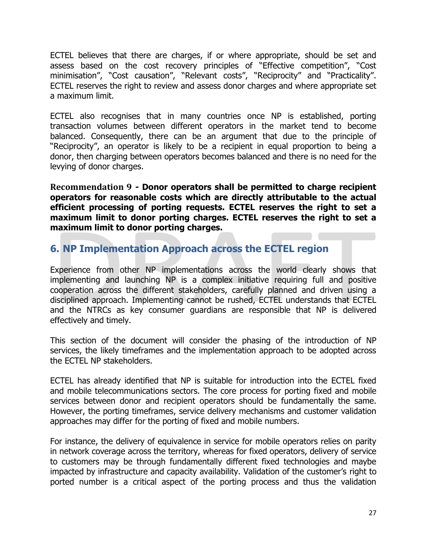ECTEL believes that there are charges, if or where appropriate, should be set and assess based on the cost recovery principles of "Effective competition", "Cost minimisation", "Cost causation", "Relevant costs", "Reciprocity" and "Practicality". ECTEL reserves the right to review and assess donor charges and where appropriate set a maximum limit.

ECTEL also recognises that in many countries once NP is established, porting transaction volumes between different operators in the market tend to become balanced. Consequently, there can be an argument that due to the principle of "Reciprocity", an operator is likely to be a recipient in equal proportion to being a donor, then charging between operators becomes balanced and there is no need for the levying of donor charges.

<span id="page-26-0"></span>**Recommendation 9 - Donor operators shall be permitted to charge recipient operators for reasonable costs which are directly attributable to the actual efficient processing of porting requests. ECTEL reserves the right to set a maximum limit to donor porting charges. ECTEL reserves the right to set a maximum limit to donor porting charges.**

### <span id="page-26-1"></span>**6. NP Implementation Approach across the ECTEL region**

Experience from other NP implementations across the world clearly shows that implementing and launching NP is a complex initiative requiring full and positive cooperation across the different stakeholders, carefully planned and driven using a disciplined approach. Implementing cannot be rushed, ECTEL understands that ECTEL and the NTRCs as key consumer guardians are responsible that NP is delivered effectively and timely.

This section of the document will consider the phasing of the introduction of NP services, the likely timeframes and the implementation approach to be adopted across the ECTEL NP stakeholders.

ECTEL has already identified that NP is suitable for introduction into the ECTEL fixed and mobile telecommunications sectors. The core process for porting fixed and mobile services between donor and recipient operators should be fundamentally the same. However, the porting timeframes, service delivery mechanisms and customer validation approaches may differ for the porting of fixed and mobile numbers.

For instance, the delivery of equivalence in service for mobile operators relies on parity in network coverage across the territory, whereas for fixed operators, delivery of service to customers may be through fundamentally different fixed technologies and maybe impacted by infrastructure and capacity availability. Validation of the customer's right to ported number is a critical aspect of the porting process and thus the validation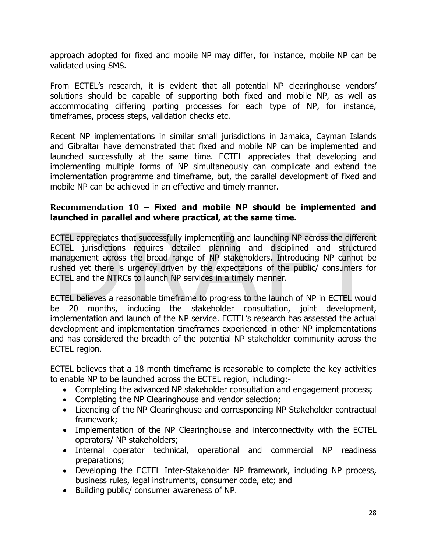approach adopted for fixed and mobile NP may differ, for instance, mobile NP can be validated using SMS.

From ECTEL's research, it is evident that all potential NP clearinghouse vendors' solutions should be capable of supporting both fixed and mobile NP, as well as accommodating differing porting processes for each type of NP, for instance, timeframes, process steps, validation checks etc.

Recent NP implementations in similar small jurisdictions in Jamaica, Cayman Islands and Gibraltar have demonstrated that fixed and mobile NP can be implemented and launched successfully at the same time. ECTEL appreciates that developing and implementing multiple forms of NP simultaneously can complicate and extend the implementation programme and timeframe, but, the parallel development of fixed and mobile NP can be achieved in an effective and timely manner.

### <span id="page-27-0"></span>**Recommendation 10 – Fixed and mobile NP should be implemented and launched in parallel and where practical, at the same time.**

ECTEL appreciates that successfully implementing and launching NP across the different ECTEL jurisdictions requires detailed planning and disciplined and structured management across the broad range of NP stakeholders. Introducing NP cannot be rushed yet there is urgency driven by the expectations of the public/ consumers for ECTEL and the NTRCs to launch NP services in a timely manner.

ECTEL believes a reasonable timeframe to progress to the launch of NP in ECTEL would be 20 months, including the stakeholder consultation, joint development, implementation and launch of the NP service. ECTEL's research has assessed the actual development and implementation timeframes experienced in other NP implementations and has considered the breadth of the potential NP stakeholder community across the ECTEL region.

ECTEL believes that a 18 month timeframe is reasonable to complete the key activities to enable NP to be launched across the ECTEL region, including:-

- Completing the advanced NP stakeholder consultation and engagement process;
- Completing the NP Clearinghouse and vendor selection:
- Licencing of the NP Clearinghouse and corresponding NP Stakeholder contractual framework;
- Implementation of the NP Clearinghouse and interconnectivity with the ECTEL operators/ NP stakeholders;
- Internal operator technical, operational and commercial NP readiness preparations;
- Developing the ECTEL Inter-Stakeholder NP framework, including NP process, business rules, legal instruments, consumer code, etc; and
- Building public/ consumer awareness of NP.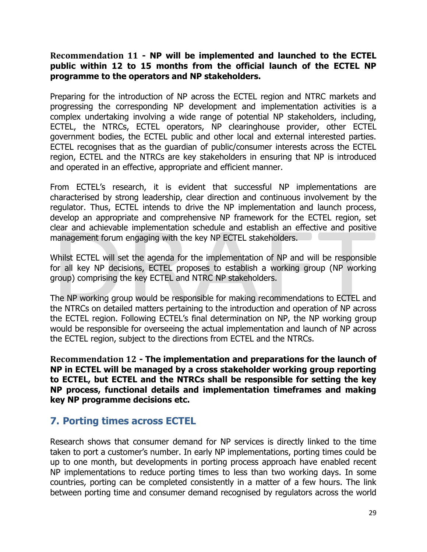### <span id="page-28-0"></span>**Recommendation 11 - NP will be implemented and launched to the ECTEL public within 12 to 15 months from the official launch of the ECTEL NP programme to the operators and NP stakeholders.**

Preparing for the introduction of NP across the ECTEL region and NTRC markets and progressing the corresponding NP development and implementation activities is a complex undertaking involving a wide range of potential NP stakeholders, including, ECTEL, the NTRCs, ECTEL operators, NP clearinghouse provider, other ECTEL government bodies, the ECTEL public and other local and external interested parties. ECTEL recognises that as the guardian of public/consumer interests across the ECTEL region, ECTEL and the NTRCs are key stakeholders in ensuring that NP is introduced and operated in an effective, appropriate and efficient manner.

From ECTEL's research, it is evident that successful NP implementations are characterised by strong leadership, clear direction and continuous involvement by the regulator. Thus, ECTEL intends to drive the NP implementation and launch process, develop an appropriate and comprehensive NP framework for the ECTEL region, set clear and achievable implementation schedule and establish an effective and positive management forum engaging with the key NP ECTEL stakeholders.

Whilst ECTEL will set the agenda for the implementation of NP and will be responsible for all key NP decisions, ECTEL proposes to establish a working group (NP working group) comprising the key ECTEL and NTRC NP stakeholders.

The NP working group would be responsible for making recommendations to ECTEL and the NTRCs on detailed matters pertaining to the introduction and operation of NP across the ECTEL region. Following ECTEL's final determination on NP, the NP working group would be responsible for overseeing the actual implementation and launch of NP across the ECTEL region, subject to the directions from ECTEL and the NTRCs.

<span id="page-28-1"></span>**Recommendation 12 - The implementation and preparations for the launch of NP in ECTEL will be managed by a cross stakeholder working group reporting to ECTEL, but ECTEL and the NTRCs shall be responsible for setting the key NP process, functional details and implementation timeframes and making key NP programme decisions etc.**

## <span id="page-28-2"></span>**7. Porting times across ECTEL**

Research shows that consumer demand for NP services is directly linked to the time taken to port a customer's number. In early NP implementations, porting times could be up to one month, but developments in porting process approach have enabled recent NP implementations to reduce porting times to less than two working days. In some countries, porting can be completed consistently in a matter of a few hours. The link between porting time and consumer demand recognised by regulators across the world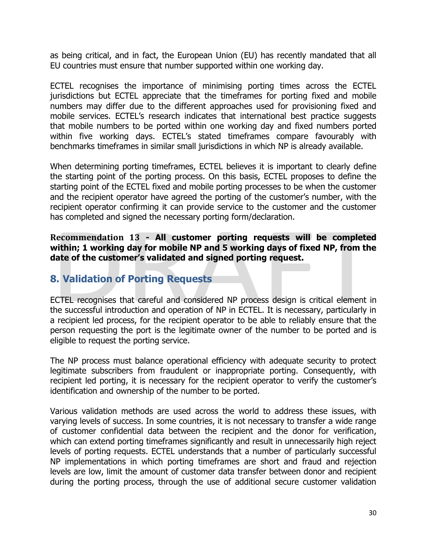as being critical, and in fact, the European Union (EU) has recently mandated that all EU countries must ensure that number supported within one working day.

ECTEL recognises the importance of minimising porting times across the ECTEL jurisdictions but ECTEL appreciate that the timeframes for porting fixed and mobile numbers may differ due to the different approaches used for provisioning fixed and mobile services. ECTEL's research indicates that international best practice suggests that mobile numbers to be ported within one working day and fixed numbers ported within five working days. ECTEL's stated timeframes compare favourably with benchmarks timeframes in similar small jurisdictions in which NP is already available.

When determining porting timeframes, ECTEL believes it is important to clearly define the starting point of the porting process. On this basis, ECTEL proposes to define the starting point of the ECTEL fixed and mobile porting processes to be when the customer and the recipient operator have agreed the porting of the customer's number, with the recipient operator confirming it can provide service to the customer and the customer has completed and signed the necessary porting form/declaration.

<span id="page-29-0"></span>**Recommendation 13 - All customer porting requests will be completed within; 1 working day for mobile NP and 5 working days of fixed NP, from the date of the customer's validated and signed porting request.** 

### <span id="page-29-1"></span>**8. Validation of Porting Requests**

ECTEL recognises that careful and considered NP process design is critical element in the successful introduction and operation of NP in ECTEL. It is necessary, particularly in a recipient led process, for the recipient operator to be able to reliably ensure that the person requesting the port is the legitimate owner of the number to be ported and is eligible to request the porting service.

The NP process must balance operational efficiency with adequate security to protect legitimate subscribers from fraudulent or inappropriate porting. Consequently, with recipient led porting, it is necessary for the recipient operator to verify the customer's identification and ownership of the number to be ported.

Various validation methods are used across the world to address these issues, with varying levels of success. In some countries, it is not necessary to transfer a wide range of customer confidential data between the recipient and the donor for verification, which can extend porting timeframes significantly and result in unnecessarily high reject levels of porting requests. ECTEL understands that a number of particularly successful NP implementations in which porting timeframes are short and fraud and rejection levels are low, limit the amount of customer data transfer between donor and recipient during the porting process, through the use of additional secure customer validation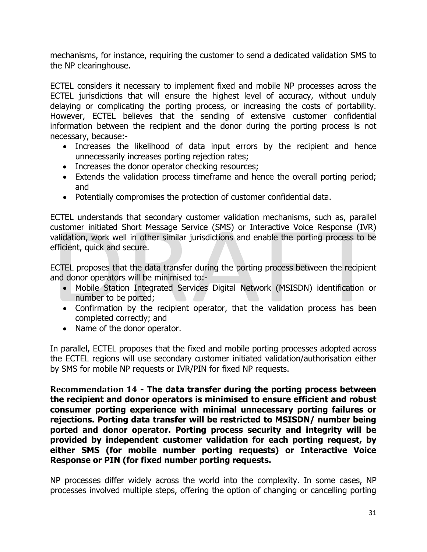mechanisms, for instance, requiring the customer to send a dedicated validation SMS to the NP clearinghouse.

ECTEL considers it necessary to implement fixed and mobile NP processes across the ECTEL jurisdictions that will ensure the highest level of accuracy, without unduly delaying or complicating the porting process, or increasing the costs of portability. However, ECTEL believes that the sending of extensive customer confidential information between the recipient and the donor during the porting process is not necessary, because:-

- Increases the likelihood of data input errors by the recipient and hence unnecessarily increases porting rejection rates;
- Increases the donor operator checking resources;
- Extends the validation process timeframe and hence the overall porting period; and
- Potentially compromises the protection of customer confidential data.

ECTEL understands that secondary customer validation mechanisms, such as, parallel customer initiated Short Message Service (SMS) or Interactive Voice Response (IVR) validation, work well in other similar jurisdictions and enable the porting process to be efficient, quick and secure.

ECTEL proposes that the data transfer during the porting process between the recipient and donor operators will be minimised to:-

- Mobile Station Integrated Services Digital Network (MSISDN) identification or number to be ported;
- Confirmation by the recipient operator, that the validation process has been completed correctly; and
- Name of the donor operator.

In parallel, ECTEL proposes that the fixed and mobile porting processes adopted across the ECTEL regions will use secondary customer initiated validation/authorisation either by SMS for mobile NP requests or IVR/PIN for fixed NP requests.

<span id="page-30-0"></span>**Recommendation 14 - The data transfer during the porting process between the recipient and donor operators is minimised to ensure efficient and robust consumer porting experience with minimal unnecessary porting failures or rejections. Porting data transfer will be restricted to MSISDN/ number being ported and donor operator. Porting process security and integrity will be provided by independent customer validation for each porting request, by either SMS (for mobile number porting requests) or Interactive Voice Response or PIN (for fixed number porting requests.** 

NP processes differ widely across the world into the complexity. In some cases, NP processes involved multiple steps, offering the option of changing or cancelling porting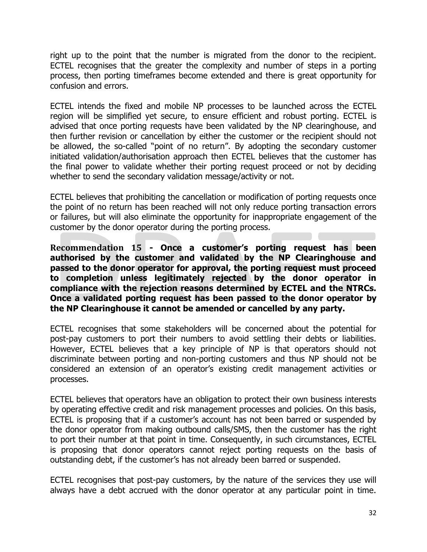right up to the point that the number is migrated from the donor to the recipient. ECTEL recognises that the greater the complexity and number of steps in a porting process, then porting timeframes become extended and there is great opportunity for confusion and errors.

ECTEL intends the fixed and mobile NP processes to be launched across the ECTEL region will be simplified yet secure, to ensure efficient and robust porting. ECTEL is advised that once porting requests have been validated by the NP clearinghouse, and then further revision or cancellation by either the customer or the recipient should not be allowed, the so-called "point of no return". By adopting the secondary customer initiated validation/authorisation approach then ECTEL believes that the customer has the final power to validate whether their porting request proceed or not by deciding whether to send the secondary validation message/activity or not.

ECTEL believes that prohibiting the cancellation or modification of porting requests once the point of no return has been reached will not only reduce porting transaction errors or failures, but will also eliminate the opportunity for inappropriate engagement of the customer by the donor operator during the porting process.

<span id="page-31-0"></span>**Recommendation 15 - Once a customer's porting request has been authorised by the customer and validated by the NP Clearinghouse and passed to the donor operator for approval, the porting request must proceed to completion unless legitimately rejected by the donor operator in compliance with the rejection reasons determined by ECTEL and the NTRCs. Once a validated porting request has been passed to the donor operator by the NP Clearinghouse it cannot be amended or cancelled by any party.**

ECTEL recognises that some stakeholders will be concerned about the potential for post-pay customers to port their numbers to avoid settling their debts or liabilities. However, ECTEL believes that a key principle of NP is that operators should not discriminate between porting and non-porting customers and thus NP should not be considered an extension of an operator's existing credit management activities or processes.

ECTEL believes that operators have an obligation to protect their own business interests by operating effective credit and risk management processes and policies. On this basis, ECTEL is proposing that if a customer's account has not been barred or suspended by the donor operator from making outbound calls/SMS, then the customer has the right to port their number at that point in time. Consequently, in such circumstances, ECTEL is proposing that donor operators cannot reject porting requests on the basis of outstanding debt, if the customer's has not already been barred or suspended.

ECTEL recognises that post-pay customers, by the nature of the services they use will always have a debt accrued with the donor operator at any particular point in time.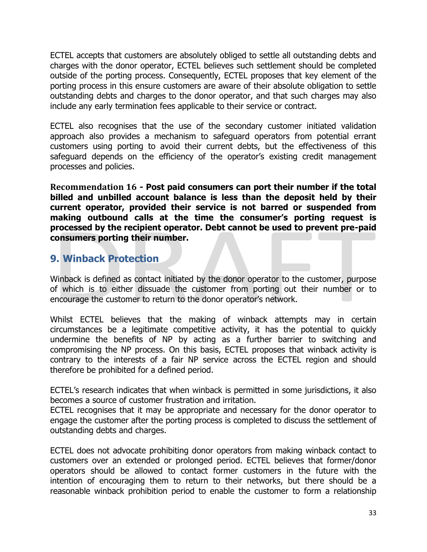ECTEL accepts that customers are absolutely obliged to settle all outstanding debts and charges with the donor operator, ECTEL believes such settlement should be completed outside of the porting process. Consequently, ECTEL proposes that key element of the porting process in this ensure customers are aware of their absolute obligation to settle outstanding debts and charges to the donor operator, and that such charges may also include any early termination fees applicable to their service or contract.

ECTEL also recognises that the use of the secondary customer initiated validation approach also provides a mechanism to safeguard operators from potential errant customers using porting to avoid their current debts, but the effectiveness of this safeguard depends on the efficiency of the operator's existing credit management processes and policies.

<span id="page-32-0"></span>**Recommendation 16 - Post paid consumers can port their number if the total billed and unbilled account balance is less than the deposit held by their current operator, provided their service is not barred or suspended from making outbound calls at the time the consumer's porting request is processed by the recipient operator. Debt cannot be used to prevent pre-paid consumers porting their number.** 

### <span id="page-32-1"></span>**9. Winback Protection**

Winback is defined as contact initiated by the donor operator to the customer, purpose of which is to either dissuade the customer from porting out their number or to encourage the customer to return to the donor operator's network.

Whilst ECTEL believes that the making of winback attempts may in certain circumstances be a legitimate competitive activity, it has the potential to quickly undermine the benefits of NP by acting as a further barrier to switching and compromising the NP process. On this basis, ECTEL proposes that winback activity is contrary to the interests of a fair NP service across the ECTEL region and should therefore be prohibited for a defined period.

ECTEL's research indicates that when winback is permitted in some jurisdictions, it also becomes a source of customer frustration and irritation.

ECTEL recognises that it may be appropriate and necessary for the donor operator to engage the customer after the porting process is completed to discuss the settlement of outstanding debts and charges.

ECTEL does not advocate prohibiting donor operators from making winback contact to customers over an extended or prolonged period. ECTEL believes that former/donor operators should be allowed to contact former customers in the future with the intention of encouraging them to return to their networks, but there should be a reasonable winback prohibition period to enable the customer to form a relationship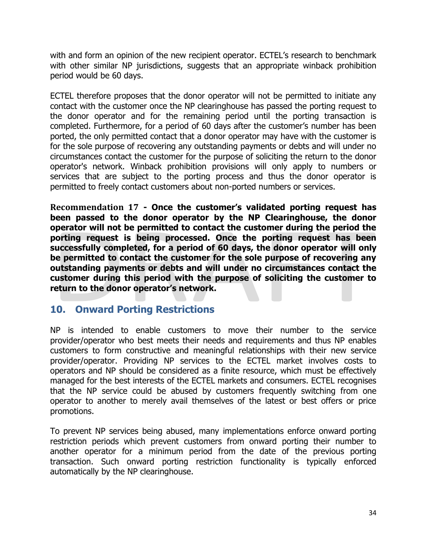with and form an opinion of the new recipient operator. ECTEL's research to benchmark with other similar NP jurisdictions, suggests that an appropriate winback prohibition period would be 60 days.

ECTEL therefore proposes that the donor operator will not be permitted to initiate any contact with the customer once the NP clearinghouse has passed the porting request to the donor operator and for the remaining period until the porting transaction is completed. Furthermore, for a period of 60 days after the customer's number has been ported, the only permitted contact that a donor operator may have with the customer is for the sole purpose of recovering any outstanding payments or debts and will under no circumstances contact the customer for the purpose of soliciting the return to the donor operator's network. Winback prohibition provisions will only apply to numbers or services that are subject to the porting process and thus the donor operator is permitted to freely contact customers about non-ported numbers or services.

<span id="page-33-0"></span>**Recommendation 17 - Once the customer's validated porting request has been passed to the donor operator by the NP Clearinghouse, the donor operator will not be permitted to contact the customer during the period the porting request is being processed. Once the porting request has been successfully completed, for a period of 60 days, the donor operator will only be permitted to contact the customer for the sole purpose of recovering any outstanding payments or debts and will under no circumstances contact the customer during this period with the purpose of soliciting the customer to return to the donor operator's network.** 

### <span id="page-33-1"></span>**10. Onward Porting Restrictions**

NP is intended to enable customers to move their number to the service provider/operator who best meets their needs and requirements and thus NP enables customers to form constructive and meaningful relationships with their new service provider/operator. Providing NP services to the ECTEL market involves costs to operators and NP should be considered as a finite resource, which must be effectively managed for the best interests of the ECTEL markets and consumers. ECTEL recognises that the NP service could be abused by customers frequently switching from one operator to another to merely avail themselves of the latest or best offers or price promotions.

To prevent NP services being abused, many implementations enforce onward porting restriction periods which prevent customers from onward porting their number to another operator for a minimum period from the date of the previous porting transaction. Such onward porting restriction functionality is typically enforced automatically by the NP clearinghouse.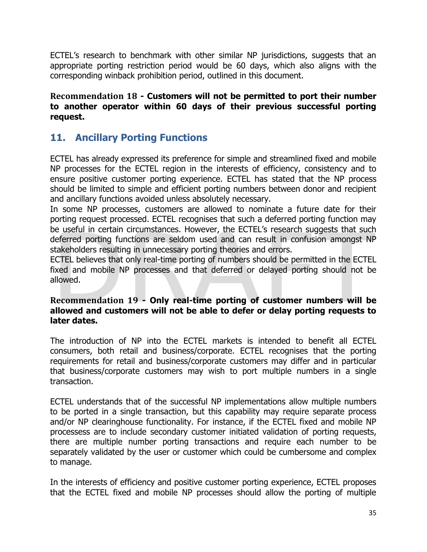ECTEL's research to benchmark with other similar NP jurisdictions, suggests that an appropriate porting restriction period would be 60 days, which also aligns with the corresponding winback prohibition period, outlined in this document.

### <span id="page-34-0"></span>**Recommendation 18 - Customers will not be permitted to port their number to another operator within 60 days of their previous successful porting request.**

### <span id="page-34-1"></span>**11. Ancillary Porting Functions**

ECTEL has already expressed its preference for simple and streamlined fixed and mobile NP processes for the ECTEL region in the interests of efficiency, consistency and to ensure positive customer porting experience. ECTEL has stated that the NP process should be limited to simple and efficient porting numbers between donor and recipient and ancillary functions avoided unless absolutely necessary.

In some NP processes, customers are allowed to nominate a future date for their porting request processed. ECTEL recognises that such a deferred porting function may be useful in certain circumstances. However, the ECTEL's research suggests that such deferred porting functions are seldom used and can result in confusion amongst NP stakeholders resulting in unnecessary porting theories and errors.

ECTEL believes that only real-time porting of numbers should be permitted in the ECTEL fixed and mobile NP processes and that deferred or delayed porting should not be allowed.

### <span id="page-34-2"></span>**Recommendation 19 - Only real-time porting of customer numbers will be allowed and customers will not be able to defer or delay porting requests to later dates.**

The introduction of NP into the ECTEL markets is intended to benefit all ECTEL consumers, both retail and business/corporate. ECTEL recognises that the porting requirements for retail and business/corporate customers may differ and in particular that business/corporate customers may wish to port multiple numbers in a single transaction.

ECTEL understands that of the successful NP implementations allow multiple numbers to be ported in a single transaction, but this capability may require separate process and/or NP clearinghouse functionality. For instance, if the ECTEL fixed and mobile NP processess are to include secondary customer initiated validation of porting requests, there are multiple number porting transactions and require each number to be separately validated by the user or customer which could be cumbersome and complex to manage.

In the interests of efficiency and positive customer porting experience, ECTEL proposes that the ECTEL fixed and mobile NP processes should allow the porting of multiple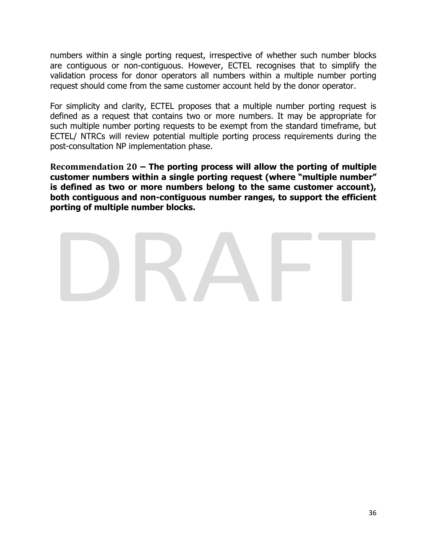numbers within a single porting request, irrespective of whether such number blocks are contiguous or non-contiguous. However, ECTEL recognises that to simplify the validation process for donor operators all numbers within a multiple number porting request should come from the same customer account held by the donor operator.

For simplicity and clarity, ECTEL proposes that a multiple number porting request is defined as a request that contains two or more numbers. It may be appropriate for such multiple number porting requests to be exempt from the standard timeframe, but ECTEL/ NTRCs will review potential multiple porting process requirements during the post-consultation NP implementation phase.

<span id="page-35-0"></span>**Recommendation 20 – The porting process will allow the porting of multiple customer numbers within a single porting request (where "multiple number" is defined as two or more numbers belong to the same customer account), both contiguous and non-contiguous number ranges, to support the efficient porting of multiple number blocks.**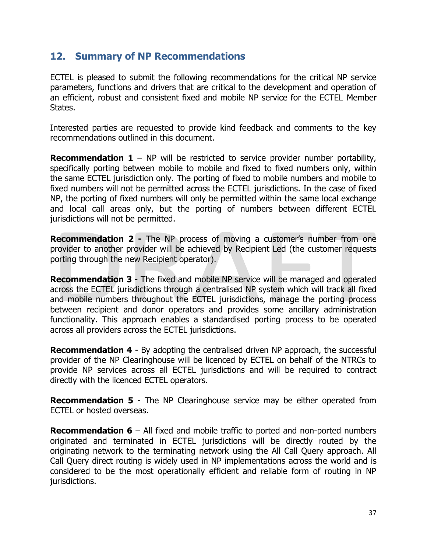### <span id="page-36-0"></span>**12. Summary of NP Recommendations**

ECTEL is pleased to submit the following recommendations for the critical NP service parameters, functions and drivers that are critical to the development and operation of an efficient, robust and consistent fixed and mobile NP service for the ECTEL Member States.

Interested parties are requested to provide kind feedback and comments to the key recommendations outlined in this document.

**Recommendation 1** – NP will be restricted to service provider number portability, specifically porting between mobile to mobile and fixed to fixed numbers only, within the same ECTEL jurisdiction only. The porting of fixed to mobile numbers and mobile to fixed numbers will not be permitted across the ECTEL jurisdictions. In the case of fixed NP, the porting of fixed numbers will only be permitted within the same local exchange and local call areas only, but the porting of numbers between different ECTEL jurisdictions will not be permitted.

**Recommendation 2 -** The NP process of moving a customer's number from one provider to another provider will be achieved by Recipient Led (the customer requests porting through the new Recipient operator).

**Recommendation 3** - The fixed and mobile NP service will be managed and operated across the ECTEL jurisdictions through a centralised NP system which will track all fixed and mobile numbers throughout the ECTEL jurisdictions, manage the porting process between recipient and donor operators and provides some ancillary administration functionality. This approach enables a standardised porting process to be operated across all providers across the ECTEL jurisdictions.

**Recommendation 4** - By adopting the centralised driven NP approach, the successful provider of the NP Clearinghouse will be licenced by ECTEL on behalf of the NTRCs to provide NP services across all ECTEL jurisdictions and will be required to contract directly with the licenced ECTEL operators.

**Recommendation 5** - The NP Clearinghouse service may be either operated from ECTEL or hosted overseas.

**Recommendation 6** – All fixed and mobile traffic to ported and non-ported numbers originated and terminated in ECTEL jurisdictions will be directly routed by the originating network to the terminating network using the All Call Query approach. All Call Query direct routing is widely used in NP implementations across the world and is considered to be the most operationally efficient and reliable form of routing in NP jurisdictions.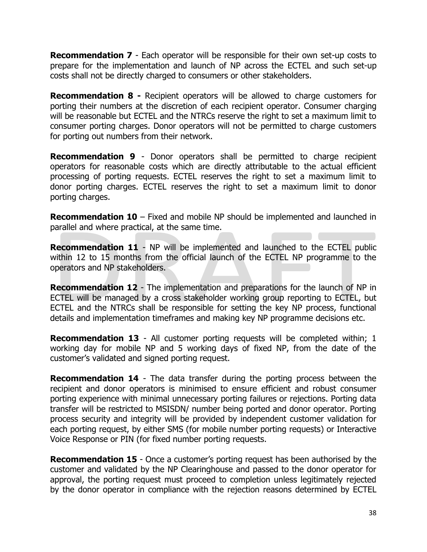**Recommendation 7** - Each operator will be responsible for their own set-up costs to prepare for the implementation and launch of NP across the ECTEL and such set-up costs shall not be directly charged to consumers or other stakeholders.

**Recommendation 8 -** Recipient operators will be allowed to charge customers for porting their numbers at the discretion of each recipient operator. Consumer charging will be reasonable but ECTEL and the NTRCs reserve the right to set a maximum limit to consumer porting charges. Donor operators will not be permitted to charge customers for porting out numbers from their network.

**Recommendation 9** - Donor operators shall be permitted to charge recipient operators for reasonable costs which are directly attributable to the actual efficient processing of porting requests. ECTEL reserves the right to set a maximum limit to donor porting charges. ECTEL reserves the right to set a maximum limit to donor porting charges.

**Recommendation 10** – Fixed and mobile NP should be implemented and launched in parallel and where practical, at the same time.

**Recommendation 11** - NP will be implemented and launched to the ECTEL public within 12 to 15 months from the official launch of the ECTEL NP programme to the operators and NP stakeholders.

**Recommendation 12** - The implementation and preparations for the launch of NP in ECTEL will be managed by a cross stakeholder working group reporting to ECTEL, but ECTEL and the NTRCs shall be responsible for setting the key NP process, functional details and implementation timeframes and making key NP programme decisions etc.

**Recommendation 13** - All customer porting requests will be completed within; 1 working day for mobile NP and 5 working days of fixed NP, from the date of the customer's validated and signed porting request.

**Recommendation 14** - The data transfer during the porting process between the recipient and donor operators is minimised to ensure efficient and robust consumer porting experience with minimal unnecessary porting failures or rejections. Porting data transfer will be restricted to MSISDN/ number being ported and donor operator. Porting process security and integrity will be provided by independent customer validation for each porting request, by either SMS (for mobile number porting requests) or Interactive Voice Response or PIN (for fixed number porting requests.

**Recommendation 15** - Once a customer's porting request has been authorised by the customer and validated by the NP Clearinghouse and passed to the donor operator for approval, the porting request must proceed to completion unless legitimately rejected by the donor operator in compliance with the rejection reasons determined by ECTEL